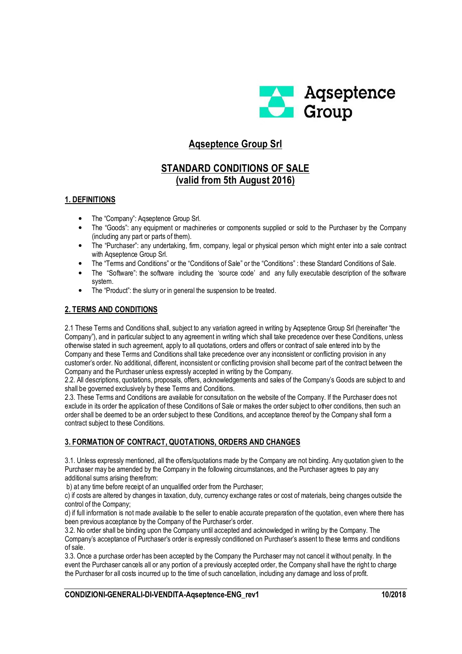

# **Aqseptence Group Srl**

# **STANDARD CONDITIONS OF SALE (valid from 5th August 2016)**

### **1. DEFINITIONS**

- The "Company": Aqseptence Group Srl.
- The "Goods": any equipment or machineries or components supplied or sold to the Purchaser by the Company (including any part or parts of them).
- The "Purchaser": any undertaking, firm, company, legal or physical person which might enter into a sale contract with Aqseptence Group Srl.
- The "Terms and Conditions" or the "Conditions of Sale" or the "Conditions" : these Standard Conditions of Sale.
- The "Software": the software including the 'source code' and any fully executable description of the software system.
- The "Product": the slurry or in general the suspension to be treated.

# **2. TERMS AND CONDITIONS**

2.1 These Terms and Conditions shall, subject to any variation agreed in writing by Aqseptence Group Srl (hereinafter "the Company"), and in particular subject to any agreement in writing which shall take precedence over these Conditions, unless otherwise stated in such agreement, apply to all quotations, orders and offers or contract of sale entered into by the Company and these Terms and Conditions shall take precedence over any inconsistent or conflicting provision in any customer's order. No additional, different, inconsistent or conflicting provision shall become part of the contract between the Company and the Purchaser unless expressly accepted in writing by the Company.

2.2. All descriptions, quotations, proposals, offers, acknowledgements and sales of the Company's Goods are subject to and shall be governed exclusively by these Terms and Conditions.

2.3. These Terms and Conditions are available for consultation on the website of the Company. If the Purchaser does not exclude in its order the application of these Conditions of Sale or makes the order subject to other conditions, then such an order shall be deemed to be an order subject to these Conditions, and acceptance thereof by the Company shall form a contract subject to these Conditions.

# **3. FORMATION OF CONTRACT, QUOTATIONS, ORDERS AND CHANGES**

3.1. Unless expressly mentioned, all the offers/quotations made by the Company are not binding. Any quotation given to the Purchaser may be amended by the Company in the following circumstances, and the Purchaser agrees to pay any additional sums arising therefrom:

b) at any time before receipt of an unqualified order from the Purchaser;

c) if costs are altered by changes in taxation, duty, currency exchange rates or cost of materials, being changes outside the control of the Company;

d) if full information is not made available to the seller to enable accurate preparation of the quotation, even where there has been previous acceptance by the Company of the Purchaser's order.

3.2. No order shall be binding upon the Company until accepted and acknowledged in writing by the Company. The Company's acceptance of Purchaser's order is expressly conditioned on Purchaser's assent to these terms and conditions of sale.

3.3. Once a purchase order has been accepted by the Company the Purchaser may not cancel it without penalty. In the event the Purchaser cancels all or any portion of a previously accepted order, the Company shall have the right to charge the Purchaser for all costs incurred up to the time of such cancellation, including any damage and loss of profit.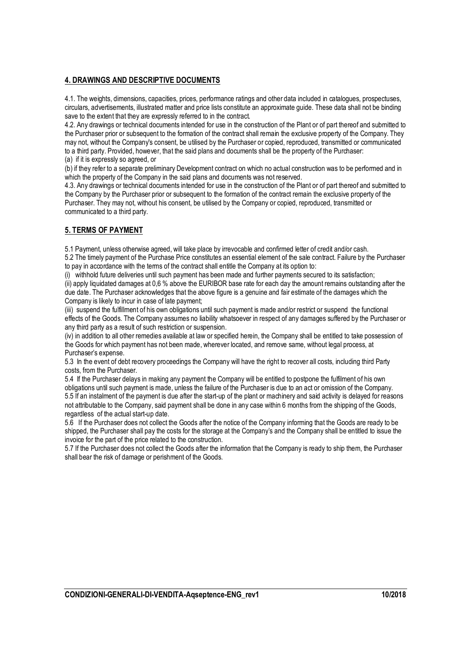## **4. DRAWINGS AND DESCRIPTIVE DOCUMENTS**

4.1. The weights, dimensions, capacities, prices, performance ratings and other data included in catalogues, prospectuses, circulars, advertisements, illustrated matter and price lists constitute an approximate guide. These data shall not be binding save to the extent that they are expressly referred to in the contract.

4.2. Any drawings or technical documents intended for use in the construction of the Plant or of part thereof and submitted to the Purchaser prior or subsequent to the formation of the contract shall remain the exclusive property of the Company. They may not, without the Company's consent, be utilised by the Purchaser or copied, reproduced, transmitted or communicated to a third party. Provided, however, that the said plans and documents shall be the property of the Purchaser: (a) if it is expressly so agreed, or

(b) if they refer to a separate preliminary Development contract on which no actual construction was to be performed and in which the property of the Company in the said plans and documents was not reserved.

4.3. Any drawings or technical documents intended for use in the construction of the Plant or of part thereof and submitted to the Company by the Purchaser prior or subsequent to the formation of the contract remain the exclusive property of the Purchaser. They may not, without his consent, be utilised by the Company or copied, reproduced, transmitted or communicated to a third party.

# **5. TERMS OF PAYMENT**

5.1 Payment, unless otherwise agreed, will take place by irrevocable and confirmed letter of credit and/or cash.

5.2 The timely payment of the Purchase Price constitutes an essential element of the sale contract. Failure by the Purchaser to pay in accordance with the terms of the contract shall entitle the Company at its option to:

(i) withhold future deliveries until such payment has been made and further payments secured to its satisfaction;

(ii) apply liquidated damages at 0,6 % above the EURIBOR base rate for each day the amount remains outstanding after the due date. The Purchaser acknowledges that the above figure is a genuine and fair estimate of the damages which the Company is likely to incur in case of late payment;

(iii) suspend the fulfillment of his own obligations until such payment is made and/or restrict or suspend the functional effects of the Goods. The Company assumes no liability whatsoever in respect of any damages suffered by the Purchaser or any third party as a result of such restriction or suspension.

(iv) in addition to all other remedies available at law or specified herein, the Company shall be entitled to take possession of the Goods for which payment has not been made, wherever located, and remove same, without legal process, at Purchaser's expense.

5.3 In the event of debt recovery proceedings the Company will have the right to recover all costs, including third Party costs, from the Purchaser.

5.4 If the Purchaser delays in making any payment the Company will be entitled to postpone the fulfilment of his own obligations until such payment is made, unless the failure of the Purchaser is due to an act or omission of the Company. 5.5 If an instalment of the payment is due after the start-up of the plant or machinery and said activity is delayed for reasons not attributable to the Company, said payment shall be done in any case within 6 months from the shipping of the Goods, regardless of the actual start-up date.

5.6 If the Purchaser does not collect the Goods after the notice of the Company informing that the Goods are ready to be shipped, the Purchaser shall pay the costs for the storage at the Company's and the Company shall be entitled to issue the invoice for the part of the price related to the construction.

5.7 If the Purchaser does not collect the Goods after the information that the Company is ready to ship them, the Purchaser shall bear the risk of damage or perishment of the Goods.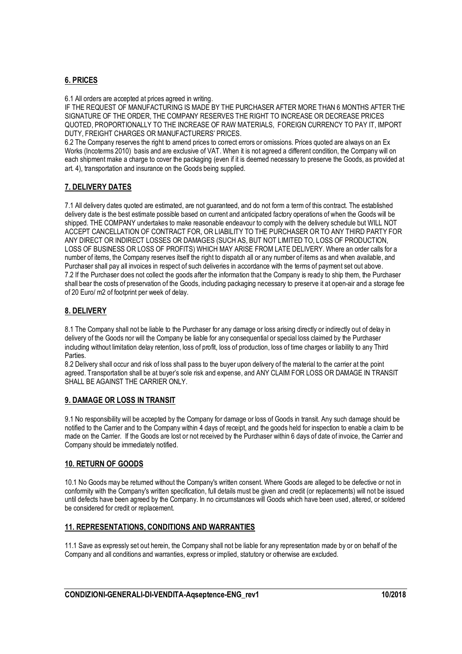# **6. PRICES**

6.1 All orders are accepted at prices agreed in writing.

IF THE REQUEST OF MANUFACTURING IS MADE BY THE PURCHASER AFTER MORE THAN 6 MONTHS AFTER THE SIGNATURE OF THE ORDER, THE COMPANY RESERVES THE RIGHT TO INCREASE OR DECREASE PRICES QUOTED, PROPORTIONALLY TO THE INCREASE OF RAW MATERIALS, FOREIGN CURRENCY TO PAY IT, IMPORT DUTY, FREIGHT CHARGES OR MANUFACTURERS' PRICES.

6.2 The Company reserves the right to amend prices to correct errors or omissions. Prices quoted are always on an Ex Works (Incoterms 2010) basis and are exclusive of VAT. When it is not agreed a different condition, the Company will on each shipment make a charge to cover the packaging (even if it is deemed necessary to preserve the Goods, as provided at art. 4), transportation and insurance on the Goods being supplied.

# **7. DELIVERY DATES**

7.1 All delivery dates quoted are estimated, are not guaranteed, and do not form a term of this contract. The established delivery date is the best estimate possible based on current and anticipated factory operations of when the Goods will be shipped. THE COMPANY undertakes to make reasonable endeavour to comply with the delivery schedule but WILL NOT ACCEPT CANCELLATION OF CONTRACT FOR, OR LIABILITY TO THE PURCHASER OR TO ANY THIRD PARTY FOR ANY DIRECT OR INDIRECT LOSSES OR DAMAGES (SUCH AS, BUT NOT LIMITED TO, LOSS OF PRODUCTION, LOSS OF BUSINESS OR LOSS OF PROFITS) WHICH MAY ARISE FROM LATE DELIVERY. Where an order calls for a number of items, the Company reserves itself the right to dispatch all or any number of items as and when available, and Purchaser shall pay all invoices in respect of such deliveries in accordance with the terms of payment set out above. 7.2 If the Purchaser does not collect the goods after the information that the Company is ready to ship them, the Purchaser shall bear the costs of preservation of the Goods, including packaging necessary to preserve it at open-air and a storage fee of 20 Euro/ m2 of footprint per week of delay.

### **8. DELIVERY**

8.1 The Company shall not be liable to the Purchaser for any damage or loss arising directly or indirectly out of delay in delivery of the Goods nor will the Company be liable for any consequential or special loss claimed by the Purchaser including without limitation delay retention, loss of profit, loss of production, loss of time charges or liability to any Third **Parties** 

8.2 Delivery shall occur and risk of loss shall pass to the buyer upon delivery of the material to the carrier at the point agreed. Transportation shall be at buyer's sole risk and expense, and ANY CLAIM FOR LOSS OR DAMAGE IN TRANSIT SHALL BE AGAINST THE CARRIER ONLY.

### **9. DAMAGE OR LOSS IN TRANSIT**

9.1 No responsibility will be accepted by the Company for damage or loss of Goods in transit. Any such damage should be notified to the Carrier and to the Company within 4 days of receipt, and the goods held for inspection to enable a claim to be made on the Carrier. If the Goods are lost or not received by the Purchaser within 6 days of date of invoice, the Carrier and Company should be immediately notified.

### **10. RETURN OF GOODS**

10.1 No Goods may be returned without the Company's written consent. Where Goods are alleged to be defective or not in conformity with the Company's written specification, full details must be given and credit (or replacements) will not be issued until defects have been agreed by the Company. In no circumstances will Goods which have been used, altered, or soldered be considered for credit or replacement.

### **11. REPRESENTATIONS, CONDITIONS AND WARRANTIES**

11.1 Save as expressly set out herein, the Company shall not be liable for any representation made by or on behalf of the Company and all conditions and warranties, express or implied, statutory or otherwise are excluded.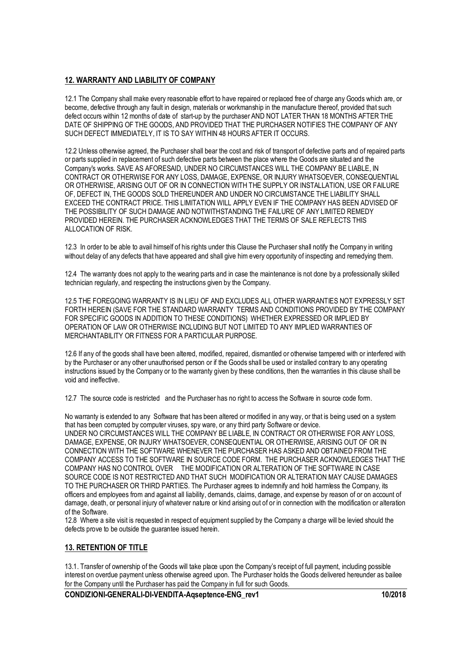### **12. WARRANTY AND LIABILITY OF COMPANY**

12.1 The Company shall make every reasonable effort to have repaired or replaced free of charge any Goods which are, or become, defective through any fault in design, materials or workmanship in the manufacture thereof, provided that such defect occurs within 12 months of date of start-up by the purchaser AND NOT LATER THAN 18 MONTHS AFTER THE DATE OF SHIPPING OF THE GOODS, AND PROVIDED THAT THE PURCHASER NOTIFIES THE COMPANY OF ANY SUCH DEFECT IMMEDIATELY, IT IS TO SAY WITHIN 48 HOURS AFTER IT OCCURS.

12.2 Unless otherwise agreed, the Purchaser shall bear the cost and risk of transport of defective parts and of repaired parts or parts supplied in replacement of such defective parts between the place where the Goods are situated and the Company's works. SAVE AS AFORESAID, UNDER NO CIRCUMSTANCES WILL THE COMPANY BE LIABLE, IN CONTRACT OR OTHERWISE FOR ANY LOSS, DAMAGE, EXPENSE, OR INJURY WHATSOEVER, CONSEQUENTIAL OR OTHERWISE, ARISING OUT OF OR IN CONNECTION WITH THE SUPPLY OR INSTALLATION, USE OR FAILURE OF, DEFECT IN, THE GOODS SOLD THEREUNDER AND UNDER NO CIRCUMSTANCE THE LIABILITY SHALL EXCEED THE CONTRACT PRICE. THIS LIMITATION WILL APPLY EVEN IF THE COMPANY HAS BEEN ADVISED OF THE POSSIBILITY OF SUCH DAMAGE AND NOTWITHSTANDING THE FAILURE OF ANY LIMITED REMEDY PROVIDED HEREIN. THE PURCHASER ACKNOWLEDGES THAT THE TERMS OF SALE REFLECTS THIS ALLOCATION OF RISK.

12.3 In order to be able to avail himself of his rights under this Clause the Purchaser shall notify the Company in writing without delay of any defects that have appeared and shall give him every opportunity of inspecting and remedying them.

12.4 The warranty does not apply to the wearing parts and in case the maintenance is not done by a professionally skilled technician regularly, and respecting the instructions given by the Company.

12.5 THE FOREGOING WARRANTY IS IN LIEU OF AND EXCLUDES ALL OTHER WARRANTIES NOT EXPRESSLY SET FORTH HEREIN (SAVE FOR THE STANDARD WARRANTY TERMS AND CONDITIONS PROVIDED BY THE COMPANY FOR SPECIFIC GOODS IN ADDITION TO THESE CONDITIONS) WHETHER EXPRESSED OR IMPLIED BY OPERATION OF LAW OR OTHERWISE INCLUDING BUT NOT LIMITED TO ANY IMPLIED WARRANTIES OF MERCHANTABILITY OR FITNESS FOR A PARTICULAR PURPOSE.

12.6 If any of the goods shall have been altered, modified, repaired, dismantled or otherwise tampered with or interfered with by the Purchaser or any other unauthorised person or if the Goods shall be used or installed contrary to any operating instructions issued by the Company or to the warranty given by these conditions, then the warranties in this clause shall be void and ineffective.

12.7 The source code is restricted and the Purchaser has no right to access the Software in source code form.

No warranty is extended to any Software that has been altered or modified in any way, or that is being used on a system that has been corrupted by computer viruses, spy ware, or any third party Software or device. UNDER NO CIRCUMSTANCES WILL THE COMPANY BE LIABLE, IN CONTRACT OR OTHERWISE FOR ANY LOSS, DAMAGE, EXPENSE, OR INJURY WHATSOEVER, CONSEQUENTIAL OR OTHERWISE, ARISING OUT OF OR IN CONNECTION WITH THE SOFTWARE WHENEVER THE PURCHASER HAS ASKED AND OBTAINED FROM THE COMPANY ACCESS TO THE SOFTWARE IN SOURCE CODE FORM. THE PURCHASER ACKNOWLEDGES THAT THE COMPANY HAS NO CONTROL OVER THE MODIFICATION OR ALTERATION OF THE SOFTWARE IN CASE SOURCE CODE IS NOT RESTRICTED AND THAT SUCH MODIFICATION OR ALTERATION MAY CAUSE DAMAGES TO THE PURCHASER OR THIRD PARTIES. The Purchaser agrees to indemnify and hold harmless the Company, its officers and employees from and against all liability, demands, claims, damage, and expense by reason of or on account of damage, death, or personal injury of whatever nature or kind arising out of or in connection with the modification or alteration of the Software.

12.8 Where a site visit is requested in respect of equipment supplied by the Company a charge will be levied should the defects prove to be outside the guarantee issued herein.

# **13. RETENTION OF TITLE**

13.1. Transfer of ownership of the Goods will take place upon the Company's receipt of full payment, including possible interest on overdue payment unless otherwise agreed upon. The Purchaser holds the Goods delivered hereunder as bailee for the Company until the Purchaser has paid the Company in full for such Goods.

**CONDIZIONI-GENERALI-DI-VENDITA-Aqseptence-ENG\_rev1 10/2018**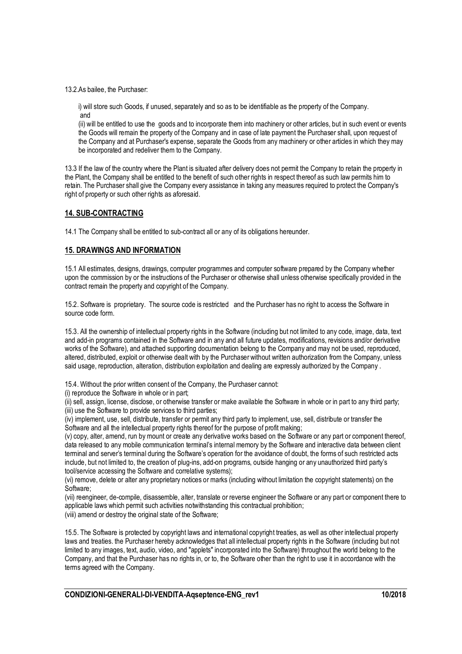13.2.As bailee, the Purchaser:

i) will store such Goods, if unused, separately and so as to be identifiable as the property of the Company. and

(ii) will be entitled to use the goods and to incorporate them into machinery or other articles, but in such event or events the Goods will remain the property of the Company and in case of late payment the Purchaser shall, upon request of the Company and at Purchaser's expense, separate the Goods from any machinery or other articles in which they may be incorporated and redeliver them to the Company.

13.3 If the law of the country where the Plant is situated after delivery does not permit the Company to retain the property in the Plant, the Company shall be entitled to the benefit of such other rights in respect thereof as such law permits him to retain. The Purchaser shall give the Company every assistance in taking any measures required to protect the Company's right of property or such other rights as aforesaid.

#### **14. SUB-CONTRACTING**

14.1 The Company shall be entitled to sub-contract all or any of its obligations hereunder.

#### **15. DRAWINGS AND INFORMATION**

15.1 All estimates, designs, drawings, computer programmes and computer software prepared by the Company whether upon the commission by or the instructions of the Purchaser or otherwise shall unless otherwise specifically provided in the contract remain the property and copyright of the Company.

15.2. Software is proprietary. The source code is restricted and the Purchaser has no right to access the Software in source code form.

15.3. All the ownership of intellectual property rights in the Software (including but not limited to any code, image, data, text and add-in programs contained in the Software and in any and all future updates, modifications, revisions and/or derivative works of the Software), and attached supporting documentation belong to the Company and may not be used, reproduced, altered, distributed, exploit or otherwise dealt with by the Purchaser without written authorization from the Company, unless said usage, reproduction, alteration, distribution exploitation and dealing are expressly authorized by the Company.

15.4. Without the prior written consent of the Company, the Purchaser cannot:

(i) reproduce the Software in whole or in part;

(ii) sell, assign, license, disclose, or otherwise transfer or make available the Software in whole or in part to any third party; (iii) use the Software to provide services to third parties;

(iv) implement, use, sell, distribute, transfer or permit any third party to implement, use, sell, distribute or transfer the Software and all the intellectual property rights thereof for the purpose of profit making;

(v) copy, alter, amend, run by mount or create any derivative works based on the Software or any part or component thereof, data released to any mobile communication terminal's internal memory by the Software and interactive data between client terminal and server's terminal during the Software's operation for the avoidance of doubt, the forms of such restricted acts include, but not limited to, the creation of plug-ins, add-on programs, outside hanging or any unauthorized third party's tool/service accessing the Software and correlative systems);

(vi) remove, delete or alter any proprietary notices or marks (including without limitation the copyright statements) on the Software;

(vii) reengineer, de-compile, disassemble, alter, translate or reverse engineer the Software or any part or component there to applicable laws which permit such activities notwithstanding this contractual prohibition; (viii) amend or destroy the original state of the Software;

15.5. The Software is protected by copyright laws and international copyright treaties, as well as other intellectual property laws and treaties. the Purchaser hereby acknowledges that all intellectual property rights in the Software (including but not limited to any images, text, audio, video, and "applets" incorporated into the Software) throughout the world belong to the Company, and that the Purchaser has no rights in, or to, the Software other than the right to use it in accordance with the terms agreed with the Company.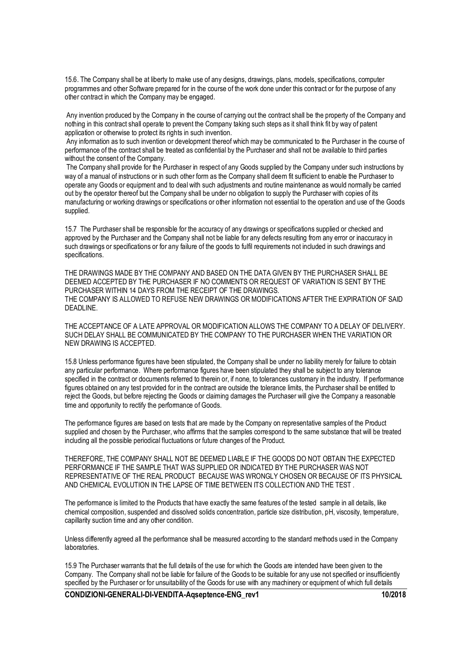15.6. The Company shall be at liberty to make use of any designs, drawings, plans, models, specifications, computer programmes and other Software prepared for in the course of the work done under this contract or for the purpose of any other contract in which the Company may be engaged.

 Any invention produced by the Company in the course of carrying out the contract shall be the property of the Company and nothing in this contract shall operate to prevent the Company taking such steps as it shall think fit by way of patent application or otherwise to protect its rights in such invention.

 Any information as to such invention or development thereof which may be communicated to the Purchaser in the course of performance of the contract shall be treated as confidential by the Purchaser and shall not be available to third parties without the consent of the Company.

 The Company shall provide for the Purchaser in respect of any Goods supplied by the Company under such instructions by way of a manual of instructions or in such other form as the Company shall deem fit sufficient to enable the Purchaser to operate any Goods or equipment and to deal with such adjustments and routine maintenance as would normally be carried out by the operator thereof but the Company shall be under no obligation to supply the Purchaser with copies of its manufacturing or working drawings or specifications or other information not essential to the operation and use of the Goods supplied.

15.7 The Purchaser shall be responsible for the accuracy of any drawings or specifications supplied or checked and approved by the Purchaser and the Company shall not be liable for any defects resulting from any error or inaccuracy in such drawings or specifications or for any failure of the goods to fulfil requirements not included in such drawings and specifications.

THE DRAWINGS MADE BY THE COMPANY AND BASED ON THE DATA GIVEN BY THE PURCHASER SHALL BE DEEMED ACCEPTED BY THE PURCHASER IF NO COMMENTS OR REQUEST OF VARIATION IS SENT BY THE PURCHASER WITHIN 14 DAYS FROM THE RECEIPT OF THE DRAWINGS. THE COMPANY IS ALLOWED TO REFUSE NEW DRAWINGS OR MODIFICATIONS AFTER THE EXPIRATION OF SAID DEADLINE.

THE ACCEPTANCE OF A LATE APPROVAL OR MODIFICATION ALLOWS THE COMPANY TO A DELAY OF DELIVERY. SUCH DELAY SHALL BE COMMUNICATED BY THE COMPANY TO THE PURCHASER WHEN THE VARIATION OR NEW DRAWING IS ACCEPTED.

15.8 Unless performance figures have been stipulated, the Company shall be under no liability merely for failure to obtain any particular performance. Where performance figures have been stipulated they shall be subject to any tolerance specified in the contract or documents referred to therein or, if none, to tolerances customary in the industry. If performance figures obtained on any test provided for in the contract are outside the tolerance limits, the Purchaser shall be entitled to reject the Goods, but before rejecting the Goods or claiming damages the Purchaser will give the Company a reasonable time and opportunity to rectify the performance of Goods.

The performance figures are based on tests that are made by the Company on representative samples of the Product supplied and chosen by the Purchaser, who affirms that the samples correspond to the same substance that will be treated including all the possible periodical fluctuations or future changes of the Product.

THEREFORE, THE COMPANY SHALL NOT BE DEEMED LIABLE IF THE GOODS DO NOT OBTAIN THE EXPECTED PERFORMANCE IF THE SAMPLE THAT WAS SUPPLIED OR INDICATED BY THE PURCHASER WAS NOT REPRESENTATIVE OF THE REAL PRODUCT BECAUSE WAS WRONGLY CHOSEN OR BECAUSE OF ITS PHYSICAL AND CHEMICAL EVOLUTION IN THE LAPSE OF TIME BETWEEN ITS COLLECTION AND THE TEST .

The performance is limited to the Products that have exactly the same features of the tested sample in all details, like chemical composition, suspended and dissolved solids concentration, particle size distribution, pH, viscosity, temperature, capillarity suction time and any other condition.

Unless differently agreed all the performance shall be measured according to the standard methods used in the Company laboratories.

15.9 The Purchaser warrants that the full details of the use for which the Goods are intended have been given to the Company. The Company shall not be liable for failure of the Goods to be suitable for any use not specified or insufficiently specified by the Purchaser or for unsuitability of the Goods for use with any machinery or equipment of which full details

**CONDIZIONI-GENERALI-DI-VENDITA-Aqseptence-ENG\_rev1 10/2018**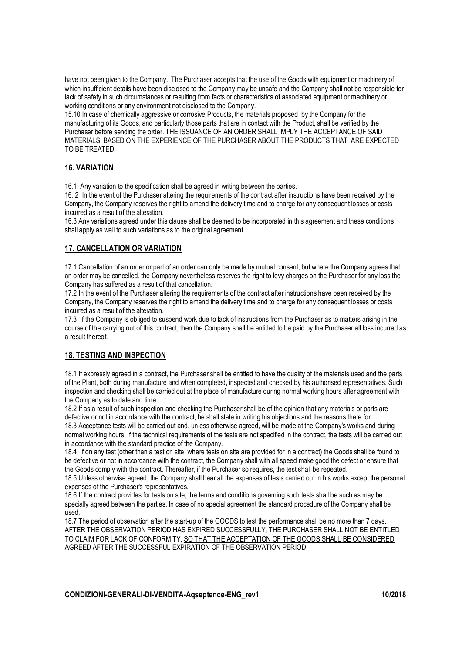have not been given to the Company. The Purchaser accepts that the use of the Goods with equipment or machinery of which insufficient details have been disclosed to the Company may be unsafe and the Company shall not be responsible for lack of safety in such circumstances or resulting from facts or characteristics of associated equipment or machinery or working conditions or any environment not disclosed to the Company.

15.10 In case of chemically aggressive or corrosive Products, the materials proposed by the Company for the manufacturing of its Goods, and particularly those parts that are in contact with the Product, shall be verified by the Purchaser before sending the order. THE ISSUANCE OF AN ORDER SHALL IMPLY THE ACCEPTANCE OF SAID MATERIALS, BASED ON THE EXPERIENCE OF THE PURCHASER ABOUT THE PRODUCTS THAT ARE EXPECTED TO BE TREATED.

# **16. VARIATION**

16.1 Any variation to the specification shall be agreed in writing between the parties.

16. 2 In the event of the Purchaser altering the requirements of the contract after instructions have been received by the Company, the Company reserves the right to amend the delivery time and to charge for any consequent losses or costs incurred as a result of the alteration.

16.3 Any variations agreed under this clause shall be deemed to be incorporated in this agreement and these conditions shall apply as well to such variations as to the original agreement.

### **17. CANCELLATION OR VARIATION**

17.1 Cancellation of an order or part of an order can only be made by mutual consent, but where the Company agrees that an order may be cancelled, the Company nevertheless reserves the right to levy charges on the Purchaser for any loss the Company has suffered as a result of that cancellation.

17.2 In the event of the Purchaser altering the requirements of the contract after instructions have been received by the Company, the Company reserves the right to amend the delivery time and to charge for any consequent losses or costs incurred as a result of the alteration.

17.3 If the Company is obliged to suspend work due to lack of instructions from the Purchaser as to matters arising in the course of the carrying out of this contract, then the Company shall be entitled to be paid by the Purchaser all loss incurred as a result thereof.

### **18. TESTING AND INSPECTION**

18.1 If expressly agreed in a contract, the Purchaser shall be entitled to have the quality of the materials used and the parts of the Plant, both during manufacture and when completed, inspected and checked by his authorised representatives. Such inspection and checking shall be carried out at the place of manufacture during normal working hours after agreement with the Company as to date and time.

18.2 If as a result of such inspection and checking the Purchaser shall be of the opinion that any materials or parts are defective or not in accordance with the contract, he shall state in writing his objections and the reasons there for.

18.3 Acceptance tests will be carried out and, unless otherwise agreed, will be made at the Company's works and during normal working hours. If the technical requirements of the tests are not specified in the contract, the tests will be carried out in accordance with the standard practice of the Company.

18.4 If on any test (other than a test on site, where tests on site are provided for in a contract) the Goods shall be found to be defective or not in accordance with the contract, the Company shall with all speed make good the defect or ensure that the Goods comply with the contract. Thereafter, if the Purchaser so requires, the test shall be repeated.

18.5 Unless otherwise agreed, the Company shall bear all the expenses of tests carried out in his works except the personal expenses of the Purchaser's representatives.

18.6 If the contract provides for tests on site, the terms and conditions governing such tests shall be such as may be specially agreed between the parties. In case of no special agreement the standard procedure of the Company shall be used.

18.7 The period of observation after the start-up of the GOODS to test the performance shall be no more than 7 days. AFTER THE OBSERVATION PERIOD HAS EXPIRED SUCCESSFULLY, THE PURCHASER SHALL NOT BE ENTITLED TO CLAIM FOR LACK OF CONFORMITY, SO THAT THE ACCEPTATION OF THE GOODS SHALL BE CONSIDERED AGREED AFTER THE SUCCESSFUL EXPIRATION OF THE OBSERVATION PERIOD.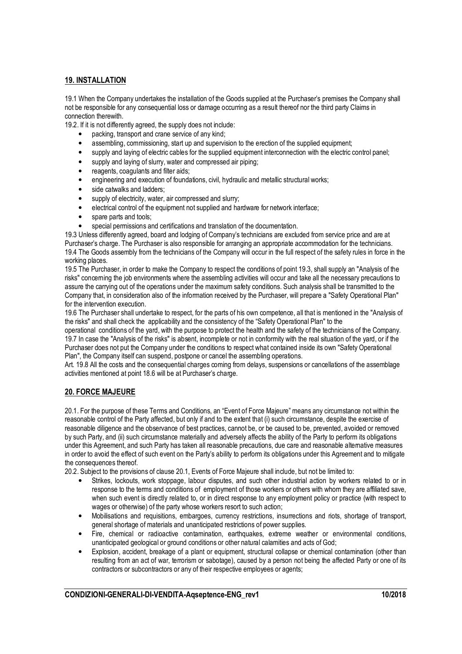### **19. INSTALLATION**

19.1 When the Company undertakes the installation of the Goods supplied at the Purchaser's premises the Company shall not be responsible for any consequential loss or damage occurring as a result thereof nor the third party Claims in connection therewith.

19.2. If it is not differently agreed, the supply does not include:

- packing, transport and crane service of any kind;
- assembling, commissioning, start up and supervision to the erection of the supplied equipment;
- supply and laying of electric cables for the supplied equipment interconnection with the electric control panel;
- supply and laying of slurry, water and compressed air piping;
- reagents, coagulants and filter aids;
- engineering and execution of foundations, civil, hydraulic and metallic structural works;
- side catwalks and ladders;
- supply of electricity, water, air compressed and slurry;
- electrical control of the equipment not supplied and hardware for network interface;
- spare parts and tools;
- special permissions and certifications and translation of the documentation.

19.3 Unless differently agreed, board and lodging of Company's technicians are excluded from service price and are at Purchaser's charge. The Purchaser is also responsible for arranging an appropriate accommodation for the technicians. 19.4 The Goods assembly from the technicians of the Company will occur in the full respect of the safety rules in force in the working places.

19.5 The Purchaser, in order to make the Company to respect the conditions of point 19.3, shall supply an "Analysis of the risks" concerning the job environments where the assembling activities will occur and take all the necessary precautions to assure the carrying out of the operations under the maximum safety conditions. Such analysis shall be transmitted to the Company that, in consideration also of the information received by the Purchaser, will prepare a "Safety Operational Plan" for the intervention execution.

19.6 The Purchaser shall undertake to respect, for the parts of his own competence, all that is mentioned in the "Analysis of the risks" and shall check the applicability and the consistency of the "Safety Operational Plan" to the

operational conditions of the yard, with the purpose to protect the health and the safety of the technicians of the Company. 19.7 In case the "Analysis of the risks" is absent, incomplete or not in conformity with the real situation of the yard, or if the Purchaser does not put the Company under the conditions to respect what contained inside its own "Safety Operational Plan", the Company itself can suspend, postpone or cancel the assembling operations.

Art. 19.8 All the costs and the consequential charges coming from delays, suspensions or cancellations of the assemblage activities mentioned at point 18.6 will be at Purchaser's charge.

### **20. FORCE MAJEURE**

20.1. For the purpose of these Terms and Conditions, an "Event of Force Majeure" means any circumstance not within the reasonable control of the Party affected, but only if and to the extent that (i) such circumstance, despite the exercise of reasonable diligence and the observance of best practices, cannot be, or be caused to be, prevented, avoided or removed by such Party, and (ii) such circumstance materially and adversely affects the ability of the Party to perform its obligations under this Agreement, and such Party has taken all reasonable precautions, due care and reasonable alternative measures in order to avoid the effect of such event on the Party's ability to perform its obligations under this Agreement and to mitigate the consequences thereof.

20.2. Subject to the provisions of clause 20.1, Events of Force Majeure shall include, but not be limited to:

- Strikes, lockouts, work stoppage, labour disputes, and such other industrial action by workers related to or in response to the terms and conditions of employment of those workers or others with whom they are affiliated save, when such event is directly related to, or in direct response to any employment policy or practice (with respect to wages or otherwise) of the party whose workers resort to such action;
- Mobilisations and requisitions, embargoes, currency restrictions, insurrections and riots, shortage of transport, general shortage of materials and unanticipated restrictions of power supplies.
- Fire, chemical or radioactive contamination, earthquakes, extreme weather or environmental conditions, unanticipated geological or ground conditions or other natural calamities and acts of God;
- Explosion, accident, breakage of a plant or equipment, structural collapse or chemical contamination (other than resulting from an act of war, terrorism or sabotage), caused by a person not being the affected Party or one of its contractors or subcontractors or any of their respective employees or agents;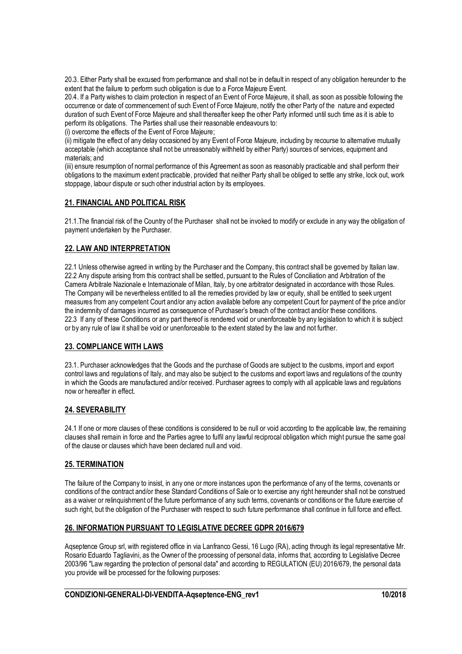20.3. Either Party shall be excused from performance and shall not be in default in respect of any obligation hereunder to the extent that the failure to perform such obligation is due to a Force Majeure Event.

20.4. If a Party wishes to claim protection in respect of an Event of Force Majeure, it shall, as soon as possible following the occurrence or date of commencement of such Event of Force Majeure, notify the other Party of the nature and expected duration of such Event of Force Majeure and shall thereafter keep the other Party informed until such time as it is able to perform its obligations. The Parties shall use their reasonable endeavours to:

(i) overcome the effects of the Event of Force Majeure;

(ii) mitigate the effect of any delay occasioned by any Event of Force Majeure, including by recourse to alternative mutually acceptable (which acceptance shall not be unreasonably withheld by either Party) sources of services, equipment and materials; and

(iii) ensure resumption of normal performance of this Agreement as soon as reasonably practicable and shall perform their obligations to the maximum extent practicable, provided that neither Party shall be obliged to settle any strike, lock out, work stoppage, labour dispute or such other industrial action by its employees.

# **21. FINANCIAL AND POLITICAL RISK**

21.1.The financial risk of the Country of the Purchaser shall not be invoked to modify or exclude in any way the obligation of payment undertaken by the Purchaser.

### **22. LAW AND INTERPRETATION**

22.1 Unless otherwise agreed in writing by the Purchaser and the Company, this contract shall be governed by Italian law. 22.2 Any dispute arising from this contract shall be settled, pursuant to the Rules of Conciliation and Arbitration of the Camera Arbitrale Nazionale e Internazionale of Milan, Italy, by one arbitrator designated in accordance with those Rules. The Company will be nevertheless entitled to all the remedies provided by law or equity, shall be entitled to seek urgent measures from any competent Court and/or any action available before any competent Court for payment of the price and/or the indemnity of damages incurred as consequence of Purchaser's breach of the contract and/or these conditions. 22.3 If any of these Conditions or any part thereof is rendered void or unenforceable by any legislation to which it is subject or by any rule of law it shall be void or unenforceable to the extent stated by the law and not further.

### **23. COMPLIANCE WITH LAWS**

23.1. Purchaser acknowledges that the Goods and the purchase of Goods are subject to the customs, import and export control laws and regulations of Italy, and may also be subject to the customs and export laws and regulations of the country in which the Goods are manufactured and/or received. Purchaser agrees to comply with all applicable laws and regulations now or hereafter in effect.

### **24. SEVERABILITY**

24.1 If one or more clauses of these conditions is considered to be null or void according to the applicable law, the remaining clauses shall remain in force and the Parties agree to fulfil any lawful reciprocal obligation which might pursue the same goal of the clause or clauses which have been declared null and void.

### **25. TERMINATION**

The failure of the Company to insist, in any one or more instances upon the performance of any of the terms, covenants or conditions of the contract and/or these Standard Conditions of Sale or to exercise any right hereunder shall not be construed as a waiver or relinquishment of the future performance of any such terms, covenants or conditions or the future exercise of such right, but the obligation of the Purchaser with respect to such future performance shall continue in full force and effect.

# **26. INFORMATION PURSUANT TO LEGISLATIVE DECREE GDPR 2016/679**

Aqseptence Group srl, with registered office in via Lanfranco Gessi, 16 Lugo (RA), acting through its legal representative Mr. Rosario Eduardo Tagliavini, as the Owner of the processing of personal data, informs that, according to Legislative Decree 2003/96 "Law regarding the protection of personal data" and according to REGULATION (EU) 2016/679, the personal data you provide will be processed for the following purposes: